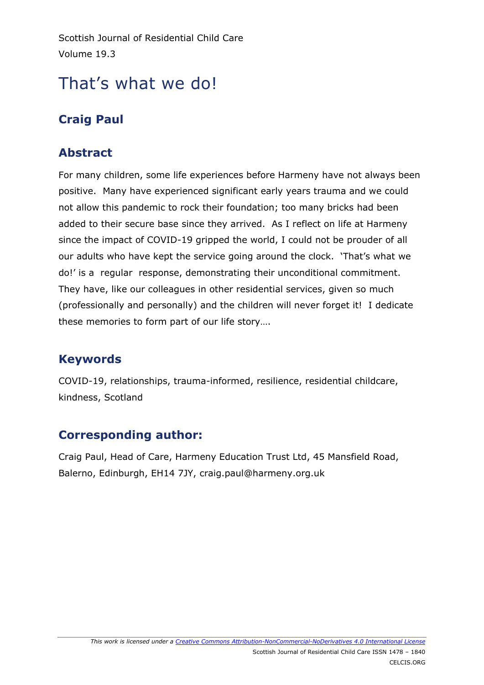Scottish Journal of Residential Child Care Volume 19.3

# That's what we do!

# **Craig Paul**

### **Abstract**

For many children, some life experiences before Harmeny have not always been positive. Many have experienced significant early years trauma and we could not allow this pandemic to rock their foundation; too many bricks had been added to their secure base since they arrived. As I reflect on life at Harmeny since the impact of COVID-19 gripped the world, I could not be prouder of all our adults who have kept the service going around the clock. 'That's what we do!' is a regular response, demonstrating their unconditional commitment. They have, like our colleagues in other residential services, given so much (professionally and personally) and the children will never forget it! I dedicate these memories to form part of our life story….

## **Keywords**

COVID-19, relationships, trauma-informed, resilience, residential childcare, kindness, Scotland

#### **Corresponding author:**

Craig Paul, Head of Care, Harmeny Education Trust Ltd, 45 Mansfield Road, Balerno, Edinburgh, EH14 7JY, craig.paul@harmeny.org.uk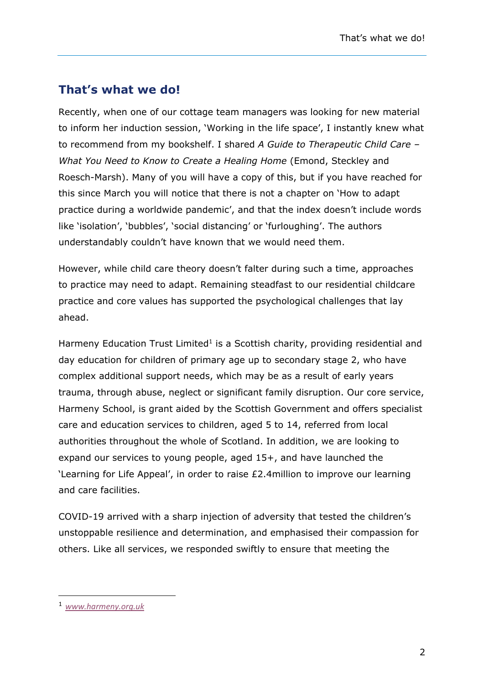#### **That's what we do!**

Recently, when one of our cottage team managers was looking for new material to inform her induction session, 'Working in the life space', I instantly knew what to recommend from my bookshelf. I shared *A Guide to Therapeutic Child Care – What You Need to Know to Create a Healing Home* (Emond, Steckley and Roesch-Marsh). Many of you will have a copy of this, but if you have reached for this since March you will notice that there is not a chapter on 'How to adapt practice during a worldwide pandemic', and that the index doesn't include words like 'isolation', 'bubbles', 'social distancing' or 'furloughing'. The authors understandably couldn't have known that we would need them.

However, while child care theory doesn't falter during such a time, approaches to practice may need to adapt. Remaining steadfast to our residential childcare practice and core values has supported the psychological challenges that lay ahead.

Harmeny Education Trust Limited<sup>1</sup> is a Scottish charity, providing residential and day education for children of primary age up to secondary stage 2, who have complex additional support needs, which may be as a result of early years trauma, through abuse, neglect or significant family disruption. Our core service, Harmeny School, is grant aided by the Scottish Government and offers specialist care and education services to children, aged 5 to 14, referred from local authorities throughout the whole of Scotland. In addition, we are looking to expand our services to young people, aged 15+, and have launched the 'Learning for Life Appeal', in order to raise £2.4million to improve our learning and care facilities.

COVID-19 arrived with a sharp injection of adversity that tested the children's unstoppable resilience and determination, and emphasised their compassion for others. Like all services, we responded swiftly to ensure that meeting the

-

<sup>1</sup> *[www.harmeny.org.uk](http://www.harmeny.org.uk/)*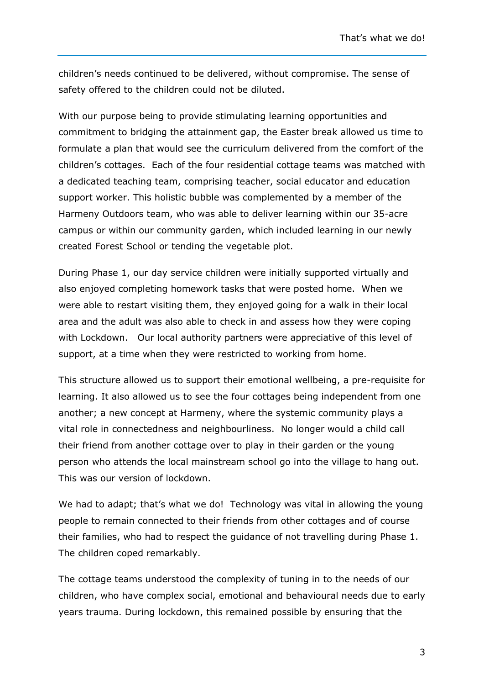children's needs continued to be delivered, without compromise. The sense of safety offered to the children could not be diluted.

With our purpose being to provide stimulating learning opportunities and commitment to bridging the attainment gap, the Easter break allowed us time to formulate a plan that would see the curriculum delivered from the comfort of the children's cottages. Each of the four residential cottage teams was matched with a dedicated teaching team, comprising teacher, social educator and education support worker. This holistic bubble was complemented by a member of the Harmeny Outdoors team, who was able to deliver learning within our 35-acre campus or within our community garden, which included learning in our newly created Forest School or tending the vegetable plot.

During Phase 1, our day service children were initially supported virtually and also enjoyed completing homework tasks that were posted home. When we were able to restart visiting them, they enjoyed going for a walk in their local area and the adult was also able to check in and assess how they were coping with Lockdown. Our local authority partners were appreciative of this level of support, at a time when they were restricted to working from home.

This structure allowed us to support their emotional wellbeing, a pre-requisite for learning. It also allowed us to see the four cottages being independent from one another; a new concept at Harmeny, where the systemic community plays a vital role in connectedness and neighbourliness. No longer would a child call their friend from another cottage over to play in their garden or the young person who attends the local mainstream school go into the village to hang out. This was our version of lockdown.

We had to adapt; that's what we do! Technology was vital in allowing the young people to remain connected to their friends from other cottages and of course their families, who had to respect the guidance of not travelling during Phase 1. The children coped remarkably.

The cottage teams understood the complexity of tuning in to the needs of our children, who have complex social, emotional and behavioural needs due to early years trauma. During lockdown, this remained possible by ensuring that the

3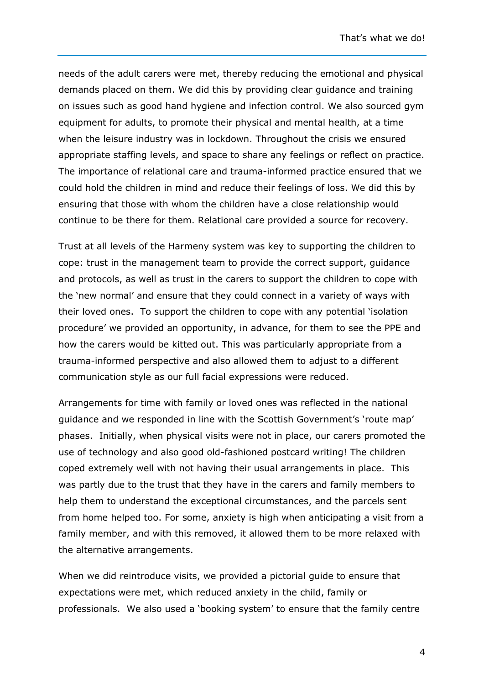needs of the adult carers were met, thereby reducing the emotional and physical demands placed on them. We did this by providing clear guidance and training on issues such as good hand hygiene and infection control. We also sourced gym equipment for adults, to promote their physical and mental health, at a time when the leisure industry was in lockdown. Throughout the crisis we ensured appropriate staffing levels, and space to share any feelings or reflect on practice. The importance of relational care and trauma-informed practice ensured that we could hold the children in mind and reduce their feelings of loss. We did this by ensuring that those with whom the children have a close relationship would continue to be there for them. Relational care provided a source for recovery.

Trust at all levels of the Harmeny system was key to supporting the children to cope: trust in the management team to provide the correct support, guidance and protocols, as well as trust in the carers to support the children to cope with the 'new normal' and ensure that they could connect in a variety of ways with their loved ones. To support the children to cope with any potential 'isolation procedure' we provided an opportunity, in advance, for them to see the PPE and how the carers would be kitted out. This was particularly appropriate from a trauma-informed perspective and also allowed them to adjust to a different communication style as our full facial expressions were reduced.

Arrangements for time with family or loved ones was reflected in the national guidance and we responded in line with the Scottish Government's 'route map' phases. Initially, when physical visits were not in place, our carers promoted the use of technology and also good old-fashioned postcard writing! The children coped extremely well with not having their usual arrangements in place. This was partly due to the trust that they have in the carers and family members to help them to understand the exceptional circumstances, and the parcels sent from home helped too. For some, anxiety is high when anticipating a visit from a family member, and with this removed, it allowed them to be more relaxed with the alternative arrangements.

When we did reintroduce visits, we provided a pictorial guide to ensure that expectations were met, which reduced anxiety in the child, family or professionals. We also used a 'booking system' to ensure that the family centre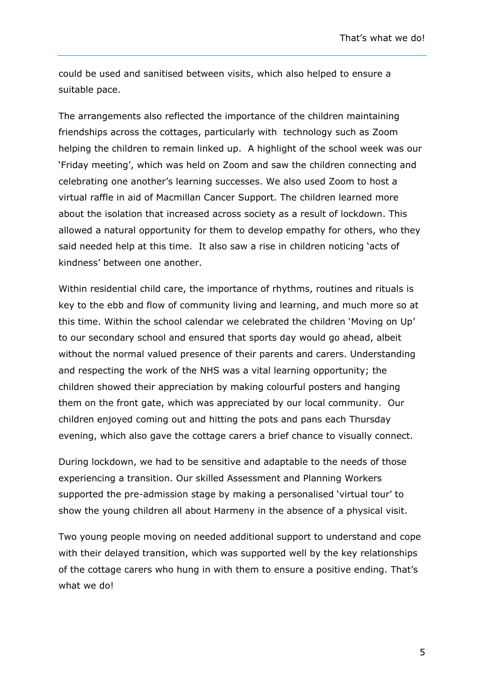could be used and sanitised between visits, which also helped to ensure a suitable pace.

The arrangements also reflected the importance of the children maintaining friendships across the cottages, particularly with technology such as Zoom helping the children to remain linked up. A highlight of the school week was our 'Friday meeting', which was held on Zoom and saw the children connecting and celebrating one another's learning successes. We also used Zoom to host a virtual raffle in aid of Macmillan Cancer Support. The children learned more about the isolation that increased across society as a result of lockdown. This allowed a natural opportunity for them to develop empathy for others, who they said needed help at this time. It also saw a rise in children noticing 'acts of kindness' between one another.

Within residential child care, the importance of rhythms, routines and rituals is key to the ebb and flow of community living and learning, and much more so at this time. Within the school calendar we celebrated the children 'Moving on Up' to our secondary school and ensured that sports day would go ahead, albeit without the normal valued presence of their parents and carers. Understanding and respecting the work of the NHS was a vital learning opportunity; the children showed their appreciation by making colourful posters and hanging them on the front gate, which was appreciated by our local community. Our children enjoyed coming out and hitting the pots and pans each Thursday evening, which also gave the cottage carers a brief chance to visually connect.

During lockdown, we had to be sensitive and adaptable to the needs of those experiencing a transition. Our skilled Assessment and Planning Workers supported the pre-admission stage by making a personalised 'virtual tour' to show the young children all about Harmeny in the absence of a physical visit.

Two young people moving on needed additional support to understand and cope with their delayed transition, which was supported well by the key relationships of the cottage carers who hung in with them to ensure a positive ending. That's what we do!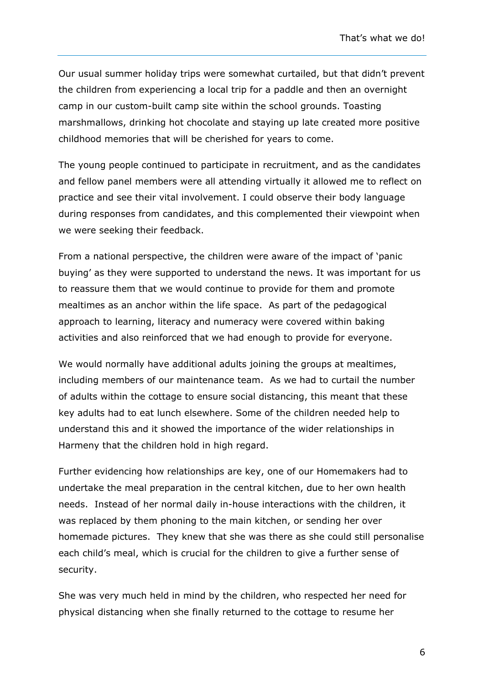Our usual summer holiday trips were somewhat curtailed, but that didn't prevent the children from experiencing a local trip for a paddle and then an overnight camp in our custom-built camp site within the school grounds. Toasting marshmallows, drinking hot chocolate and staying up late created more positive childhood memories that will be cherished for years to come.

The young people continued to participate in recruitment, and as the candidates and fellow panel members were all attending virtually it allowed me to reflect on practice and see their vital involvement. I could observe their body language during responses from candidates, and this complemented their viewpoint when we were seeking their feedback.

From a national perspective, the children were aware of the impact of 'panic buying' as they were supported to understand the news. It was important for us to reassure them that we would continue to provide for them and promote mealtimes as an anchor within the life space. As part of the pedagogical approach to learning, literacy and numeracy were covered within baking activities and also reinforced that we had enough to provide for everyone.

We would normally have additional adults joining the groups at mealtimes, including members of our maintenance team. As we had to curtail the number of adults within the cottage to ensure social distancing, this meant that these key adults had to eat lunch elsewhere. Some of the children needed help to understand this and it showed the importance of the wider relationships in Harmeny that the children hold in high regard.

Further evidencing how relationships are key, one of our Homemakers had to undertake the meal preparation in the central kitchen, due to her own health needs. Instead of her normal daily in-house interactions with the children, it was replaced by them phoning to the main kitchen, or sending her over homemade pictures. They knew that she was there as she could still personalise each child's meal, which is crucial for the children to give a further sense of security.

She was very much held in mind by the children, who respected her need for physical distancing when she finally returned to the cottage to resume her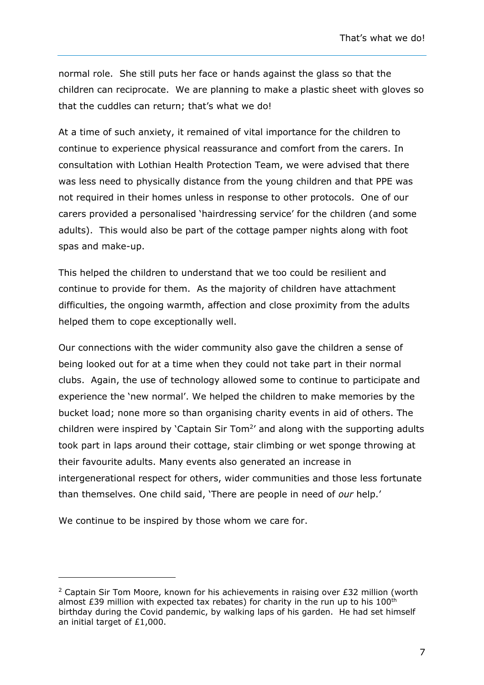normal role. She still puts her face or hands against the glass so that the children can reciprocate. We are planning to make a plastic sheet with gloves so that the cuddles can return; that's what we do!

At a time of such anxiety, it remained of vital importance for the children to continue to experience physical reassurance and comfort from the carers. In consultation with Lothian Health Protection Team, we were advised that there was less need to physically distance from the young children and that PPE was not required in their homes unless in response to other protocols. One of our carers provided a personalised 'hairdressing service' for the children (and some adults). This would also be part of the cottage pamper nights along with foot spas and make-up.

This helped the children to understand that we too could be resilient and continue to provide for them. As the majority of children have attachment difficulties, the ongoing warmth, affection and close proximity from the adults helped them to cope exceptionally well.

Our connections with the wider community also gave the children a sense of being looked out for at a time when they could not take part in their normal clubs. Again, the use of technology allowed some to continue to participate and experience the 'new normal'. We helped the children to make memories by the bucket load; none more so than organising charity events in aid of others. The children were inspired by 'Captain Sir Tom<sup>2'</sup> and along with the supporting adults took part in laps around their cottage, stair climbing or wet sponge throwing at their favourite adults. Many events also generated an increase in intergenerational respect for others, wider communities and those less fortunate than themselves. One child said, 'There are people in need of *our* help.'

We continue to be inspired by those whom we care for.

-

<sup>&</sup>lt;sup>2</sup> Captain Sir Tom Moore, known for his achievements in raising over £32 million (worth almost £39 million with expected tax rebates) for charity in the run up to his  $100<sup>th</sup>$ birthday during the Covid pandemic, by walking laps of his garden. He had set himself an initial target of £1,000.